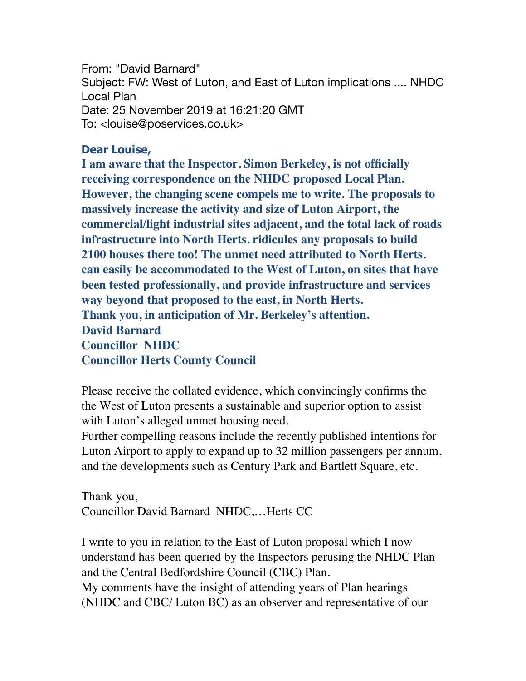From: "David Barnard" Subject: FW: West of Luton, and East of Luton implications .... NHDC Local Plan Date: 25 November 2019 at 16:21:20 GMT To: <louise@poservices.co.uk>

## **Dear Louise,**

**I am aware that the Inspector, Simon Berkeley, is not officially receiving correspondence on the NHDC proposed Local Plan. However, the changing scene compels me to write. The proposals to massively increase the activity and size of Luton Airport, the commercial/light industrial sites adjacent, and the total lack of roads infrastructure into North Herts. ridicules any proposals to build 2100 houses there too! The unmet need attributed to North Herts. can easily be accommodated to the West of Luton, on sites that have been tested professionally, and provide infrastructure and services way beyond that proposed to the east, in North Herts. Thank you, in anticipation of Mr. Berkeley's attention. David Barnard Councillor NHDC Councillor Herts County Council**

Please receive the collated evidence, which convincingly confirms the the West of Luton presents a sustainable and superior option to assist with Luton's alleged unmet housing need.

Further compelling reasons include the recently published intentions for Luton Airport to apply to expand up to 32 million passengers per annum, and the developments such as Century Park and Bartlett Square, etc.

Thank you, Councillor David Barnard NHDC,…Herts CC

I write to you in relation to the East of Luton proposal which I now understand has been queried by the Inspectors perusing the NHDC Plan and the Central Bedfordshire Council (CBC) Plan. My comments have the insight of attending years of Plan hearings (NHDC and CBC/ Luton BC) as an observer and representative of our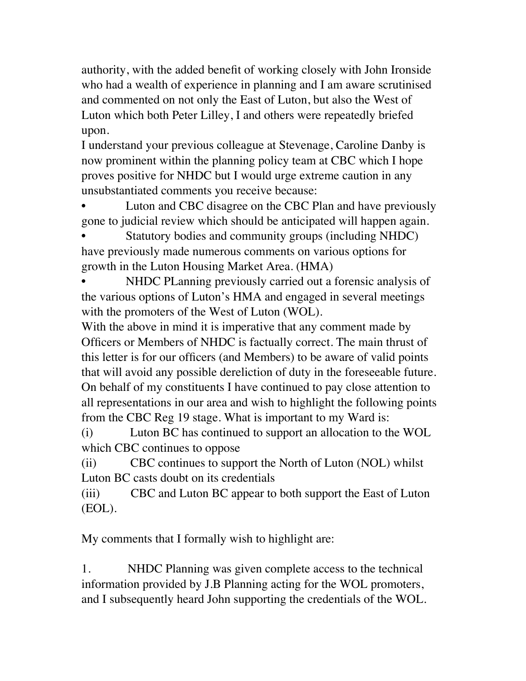authority, with the added benefit of working closely with John Ironside who had a wealth of experience in planning and I am aware scrutinised and commented on not only the East of Luton, but also the West of Luton which both Peter Lilley, I and others were repeatedly briefed upon.

I understand your previous colleague at Stevenage, Caroline Danby is now prominent within the planning policy team at CBC which I hope proves positive for NHDC but I would urge extreme caution in any unsubstantiated comments you receive because:

Luton and CBC disagree on the CBC Plan and have previously gone to judicial review which should be anticipated will happen again.

Statutory bodies and community groups (including NHDC) have previously made numerous comments on various options for growth in the Luton Housing Market Area. (HMA)

NHDC PLanning previously carried out a forensic analysis of the various options of Luton's HMA and engaged in several meetings with the promoters of the West of Luton (WOL).

With the above in mind it is imperative that any comment made by Officers or Members of NHDC is factually correct. The main thrust of this letter is for our officers (and Members) to be aware of valid points that will avoid any possible dereliction of duty in the foreseeable future. On behalf of my constituents I have continued to pay close attention to all representations in our area and wish to highlight the following points from the CBC Reg 19 stage. What is important to my Ward is:

(i) Luton BC has continued to support an allocation to the WOL which CBC continues to oppose

(ii) CBC continues to support the North of Luton (NOL) whilst Luton BC casts doubt on its credentials

(iii) CBC and Luton BC appear to both support the East of Luton (EOL).

My comments that I formally wish to highlight are:

1. NHDC Planning was given complete access to the technical information provided by J.B Planning acting for the WOL promoters, and I subsequently heard John supporting the credentials of the WOL.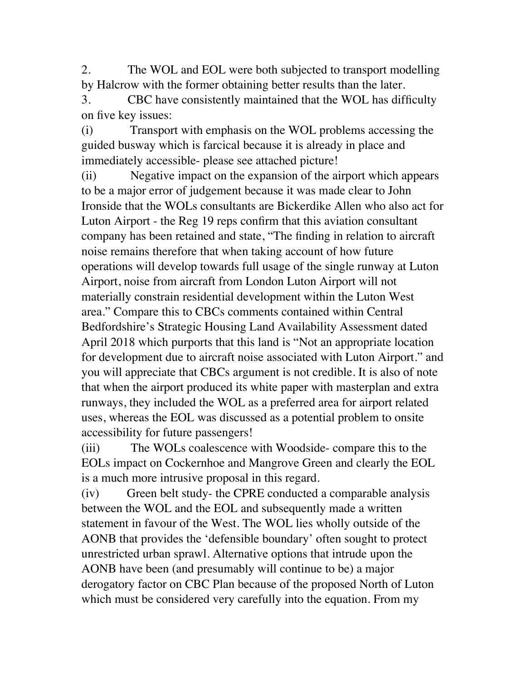2. The WOL and EOL were both subjected to transport modelling by Halcrow with the former obtaining better results than the later.

3. CBC have consistently maintained that the WOL has difficulty on five key issues:

(i) Transport with emphasis on the WOL problems accessing the guided busway which is farcical because it is already in place and immediately accessible- please see attached picture!

(ii) Negative impact on the expansion of the airport which appears to be a major error of judgement because it was made clear to John Ironside that the WOLs consultants are Bickerdike Allen who also act for Luton Airport - the Reg 19 reps confirm that this aviation consultant company has been retained and state, "The finding in relation to aircraft noise remains therefore that when taking account of how future operations will develop towards full usage of the single runway at Luton Airport, noise from aircraft from London Luton Airport will not materially constrain residential development within the Luton West area." Compare this to CBCs comments contained within Central Bedfordshire's Strategic Housing Land Availability Assessment dated April 2018 which purports that this land is "Not an appropriate location for development due to aircraft noise associated with Luton Airport." and you will appreciate that CBCs argument is not credible. It is also of note that when the airport produced its white paper with masterplan and extra runways, they included the WOL as a preferred area for airport related uses, whereas the EOL was discussed as a potential problem to onsite accessibility for future passengers!

(iii) The WOLs coalescence with Woodside- compare this to the EOLs impact on Cockernhoe and Mangrove Green and clearly the EOL is a much more intrusive proposal in this regard.

(iv) Green belt study- the CPRE conducted a comparable analysis between the WOL and the EOL and subsequently made a written statement in favour of the West. The WOL lies wholly outside of the AONB that provides the 'defensible boundary' often sought to protect unrestricted urban sprawl. Alternative options that intrude upon the AONB have been (and presumably will continue to be) a major derogatory factor on CBC Plan because of the proposed North of Luton which must be considered very carefully into the equation. From my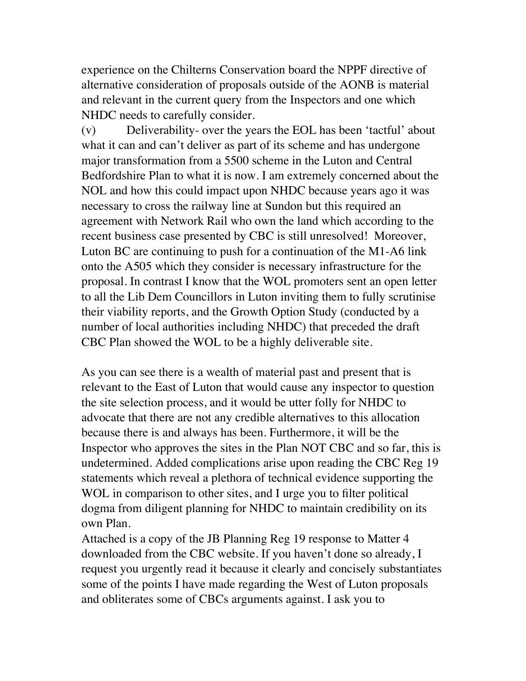experience on the Chilterns Conservation board the NPPF directive of alternative consideration of proposals outside of the AONB is material and relevant in the current query from the Inspectors and one which NHDC needs to carefully consider.

(v) Deliverability- over the years the EOL has been 'tactful' about what it can and can't deliver as part of its scheme and has undergone major transformation from a 5500 scheme in the Luton and Central Bedfordshire Plan to what it is now. I am extremely concerned about the NOL and how this could impact upon NHDC because years ago it was necessary to cross the railway line at Sundon but this required an agreement with Network Rail who own the land which according to the recent business case presented by CBC is still unresolved! Moreover, Luton BC are continuing to push for a continuation of the M1-A6 link onto the A505 which they consider is necessary infrastructure for the proposal. In contrast I know that the WOL promoters sent an open letter to all the Lib Dem Councillors in Luton inviting them to fully scrutinise their viability reports, and the Growth Option Study (conducted by a number of local authorities including NHDC) that preceded the draft CBC Plan showed the WOL to be a highly deliverable site.

As you can see there is a wealth of material past and present that is relevant to the East of Luton that would cause any inspector to question the site selection process, and it would be utter folly for NHDC to advocate that there are not any credible alternatives to this allocation because there is and always has been. Furthermore, it will be the Inspector who approves the sites in the Plan NOT CBC and so far, this is undetermined. Added complications arise upon reading the CBC Reg 19 statements which reveal a plethora of technical evidence supporting the WOL in comparison to other sites, and I urge you to filter political dogma from diligent planning for NHDC to maintain credibility on its own Plan.

Attached is a copy of the JB Planning Reg 19 response to Matter 4 downloaded from the CBC website. If you haven't done so already, I request you urgently read it because it clearly and concisely substantiates some of the points I have made regarding the West of Luton proposals and obliterates some of CBCs arguments against. I ask you to